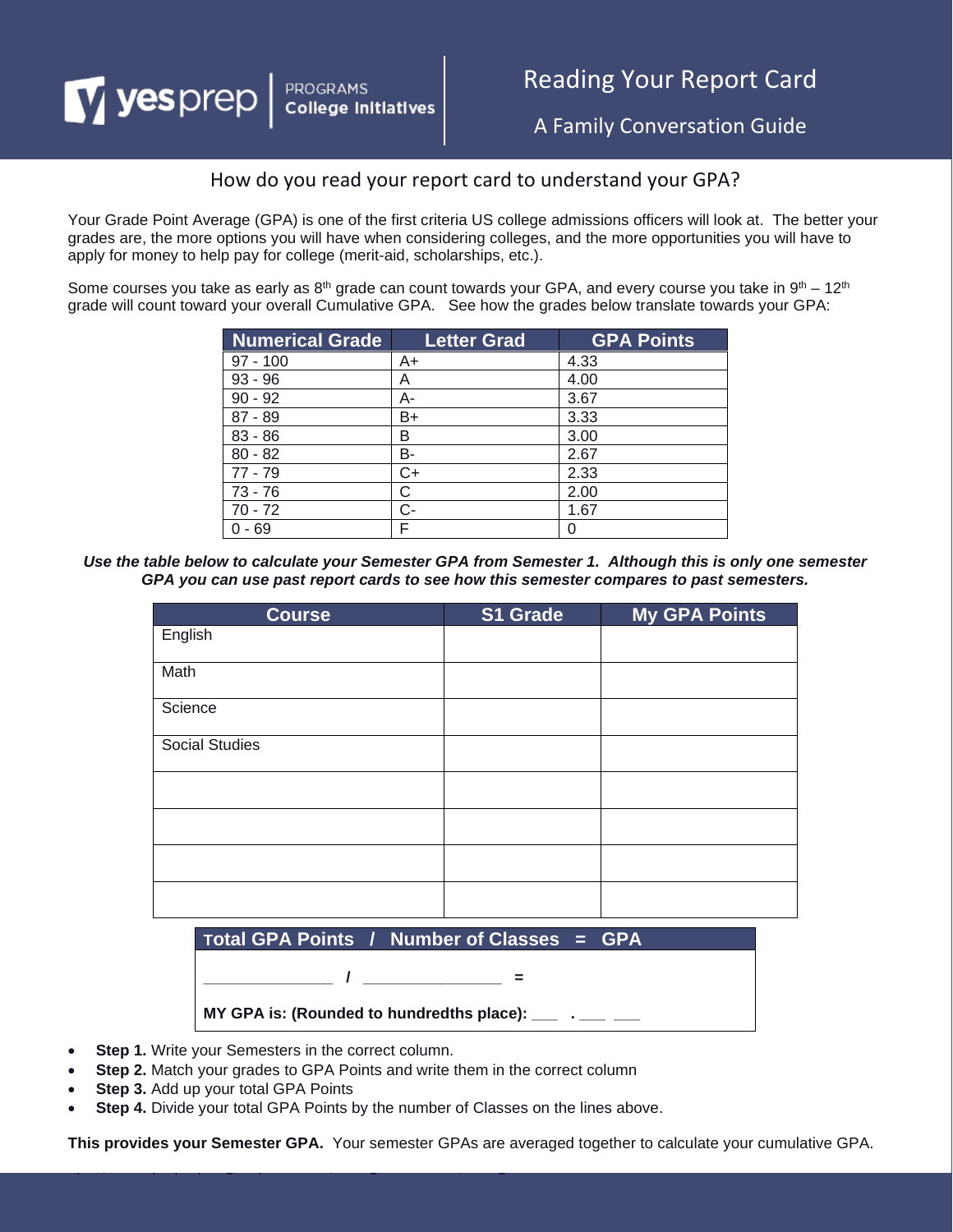# $\boldsymbol{\mathrm{V}}$  yesprep PROGRAMS<br>College Initiatives

# Reading Your Report Card

A Family Conversation Guide

## How do you read your report card to understand your GPA?

Your Grade Point Average (GPA) is one of the first criteria US college admissions officers will look at. The better your grades are, the more options you will have when considering colleges, and the more opportunities you will have to apply for money to help pay for college (merit-aid, scholarships, etc.).

Some courses you take as early as  $8<sup>th</sup>$  grade can count towards your GPA, and every course you take in  $9<sup>th</sup> - 12<sup>th</sup>$ grade will count toward your overall Cumulative GPA. See how the grades below translate towards your GPA:

| <b>Numerical Grade</b> | <b>Letter Grad</b> | <b>GPA Points</b> |
|------------------------|--------------------|-------------------|
| $97 - 100$             | $A+$               | 4.33              |
| $93 - 96$              | Α                  | 4.00              |
| $90 - 92$              | А-                 | 3.67              |
| $87 - 89$              | B+                 | 3.33              |
| $83 - 86$              | в                  | 3.00              |
| $80 - 82$              | B-                 | 2.67              |
| $77 - 79$              | C+                 | 2.33              |
| $73 - 76$              | C                  | 2.00              |
| $70 - 72$              | $C-$               | 1.67              |
| - 69                   |                    | 0                 |

*Use the table below to calculate your Semester GPA from Semester 1. Although this is only one semester GPA you can use past report cards to see how this semester compares to past semesters.*

| <b>Course</b>         | S1 Grade | My GPA Points |
|-----------------------|----------|---------------|
| English               |          |               |
| Math                  |          |               |
| Science               |          |               |
| <b>Social Studies</b> |          |               |
|                       |          |               |
|                       |          |               |
|                       |          |               |
|                       |          |               |

|                                                                                                                                                                                                                                                                                                       |  | Total GPA Points / Number of Classes = GPA |  |  |  |
|-------------------------------------------------------------------------------------------------------------------------------------------------------------------------------------------------------------------------------------------------------------------------------------------------------|--|--------------------------------------------|--|--|--|
|                                                                                                                                                                                                                                                                                                       |  |                                            |  |  |  |
|                                                                                                                                                                                                                                                                                                       |  |                                            |  |  |  |
| MY GPA is: (Rounded to hundredths place): $\frac{1}{1}$ $\frac{1}{1}$ $\frac{1}{1}$ $\frac{1}{1}$ $\frac{1}{1}$ $\frac{1}{1}$ $\frac{1}{1}$ $\frac{1}{1}$ $\frac{1}{1}$ $\frac{1}{1}$ $\frac{1}{1}$ $\frac{1}{1}$ $\frac{1}{1}$ $\frac{1}{1}$ $\frac{1}{1}$ $\frac{1}{1}$ $\frac{1}{1}$ $\frac{1}{1}$ |  |                                            |  |  |  |

- **Step 1.** Write your Semesters in the correct column.
- **Step 2.** Match your grades to GPA Points and write them in the correct column

https://www.yesprep.org/departments/college-initiatives/college-readinessTo Col

- **Step 3.** Add up your total GPA Points
- **Step 4.** Divide your total GPA Points by the number of Classes on the lines above.

**This provides your Semester GPA.** Your semester GPAs are averaged together to calculate your cumulative GPA.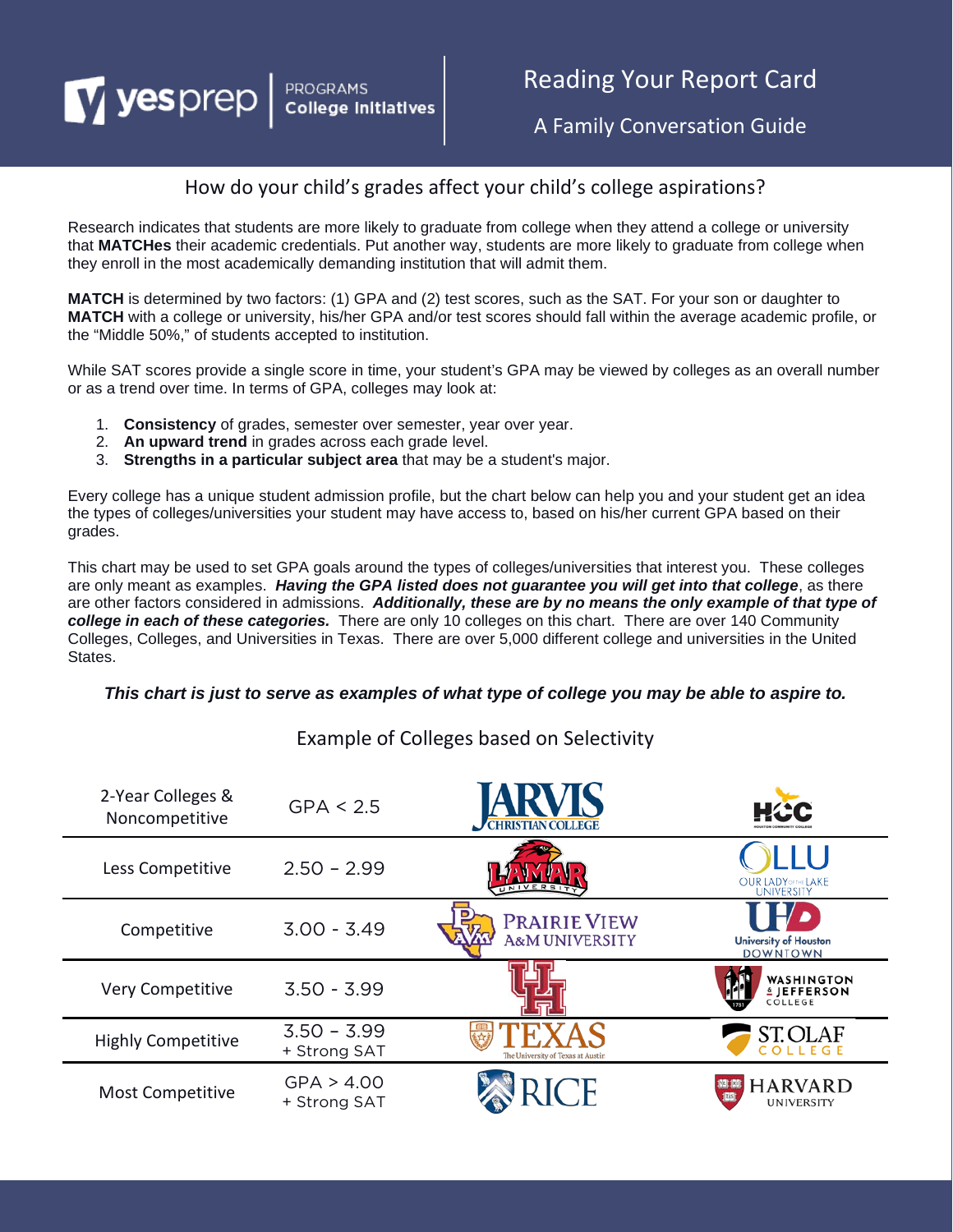# PROGRAMS<br>College Initiatives

# Reading Your Report Card

A Family Conversation Guide

## How do your child's grades affect your child's college aspirations?

Research indicates that students are more likely to graduate from college when they attend a college or university that **MATCHes** their academic credentials. Put another way, students are more likely to graduate from college when they enroll in the most academically demanding institution that will admit them.

**MATCH** is determined by two factors: (1) GPA and (2) test scores, such as the SAT. For your son or daughter to **MATCH** with a college or university, his/her GPA and/or test scores should fall within the average academic profile, or the "Middle 50%," of students accepted to institution.

While SAT scores provide a single score in time, your student's GPA may be viewed by colleges as an overall number or as a trend over time. In terms of GPA, colleges may look at:

- 1. **Consistency** of grades, semester over semester, year over year.
- 2. **An upward trend** in grades across each grade level.

V yesprep

3. **Strengths in a particular subject area** that may be a student's major.

Every college has a unique student admission profile, but the chart below can help you and your student get an idea the types of colleges/universities your student may have access to, based on his/her current GPA based on their grades.

This chart may be used to set GPA goals around the types of colleges/universities that interest you. These colleges are only meant as examples. *Having the GPA listed does not guarantee you will get into that college*, as there are other factors considered in admissions. *Additionally, these are by no means the only example of that type of college in each of these categories.* There are only 10 colleges on this chart. There are over 140 Community Colleges, Colleges, and Universities in Texas. There are over 5,000 different college and universities in the United States.

#### *This chart is just to serve as examples of what type of college you may be able to aspire to.*

| 2-Year Colleges &<br>Noncompetitive | GPA < 2.5                     | CHRISTIAN COLLEGE                                | HŒC                                                       |
|-------------------------------------|-------------------------------|--------------------------------------------------|-----------------------------------------------------------|
| Less Competitive                    | $2.50 - 2.99$                 | UNIVERSI                                         | <b>OUR LADY OF THE LAKE</b><br>UNIVERSITY                 |
| Competitive                         | $3.00 - 3.49$                 | <b>PRAIRIE VIEW</b><br><b>A&amp;M UNIVERSITY</b> | <b>University of Houston</b><br><b>DOWNTOWN</b>           |
| <b>Very Competitive</b>             | $3.50 - 3.99$                 |                                                  | <b>WASHINGTON</b><br><b><i>L</i></b> JEFFERSON<br>COLLEGE |
| <b>Highly Competitive</b>           | $3.50 - 3.99$<br>+ Strong SAT | The University of Texas at Austin                | <b>ST.OLAF</b><br>COLLEGE                                 |
| Most Competitive                    | GPA > 4.00<br>+ Strong SAT    |                                                  | <b>HARVARD</b><br>UNIVERSITY                              |

# Example of Colleges based on Selectivity